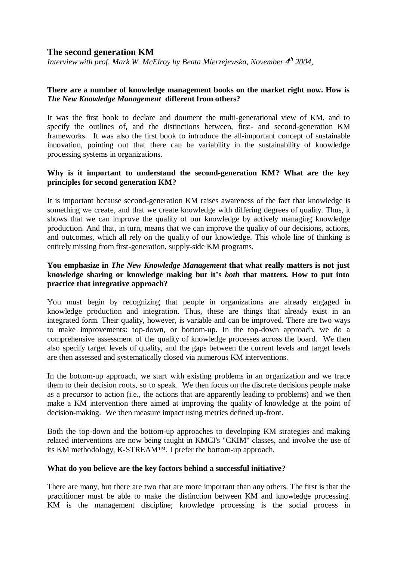# **The second generation KM**

*Interview with prof. Mark W. McElroy by Beata Mierzejewska, November 4th 2004,* 

#### **There are a number of knowledge management books on the market right now. How is**  *The New Knowledge Management* **different from others?**

It was the first book to declare and doument the multi-generational view of KM, and to specify the outlines of, and the distinctions between, first- and second-generation KM frameworks. It was also the first book to introduce the all-important concept of sustainable innovation, pointing out that there can be variability in the sustainability of knowledge processing systems in organizations.

## **Why is it important to understand the second-generation KM? What are the key principles for second generation KM?**

It is important because second-generation KM raises awareness of the fact that knowledge is something we create, and that we create knowledge with differing degrees of quality. Thus, it shows that we can improve the quality of our knowledge by actively managing knowledge production. And that, in turn, means that we can improve the quality of our decisions, actions, and outcomes, which all rely on the quality of our knowledge. This whole line of thinking is entirely missing from first-generation, supply-side KM programs.

# **You emphasize in** *The New Knowledge Management* **that what really matters is not just knowledge sharing or knowledge making but it's** *both* **that matters***.* **How to put into practice that integrative approach?**

You must begin by recognizing that people in organizations are already engaged in knowledge production and integration. Thus, these are things that already exist in an integrated form. Their quality, however, is variable and can be improved. There are two ways to make improvements: top-down, or bottom-up. In the top-down approach, we do a comprehensive assessment of the quality of knowledge processes across the board. We then also specify target levels of quality, and the gaps between the current levels and target levels are then assessed and systematically closed via numerous KM interventions.

In the bottom-up approach, we start with existing problems in an organization and we trace them to their decision roots, so to speak. We then focus on the discrete decisions people make as a precursor to action (i.e., the actions that are apparently leading to problems) and we then make a KM intervention there aimed at improving the quality of knowledge at the point of decision-making. We then measure impact using metrics defined up-front.

Both the top-down and the bottom-up approaches to developing KM strategies and making related interventions are now being taught in KMCI's "CKIM" classes, and involve the use of its KM methodology, K-STREAM™. I prefer the bottom-up approach.

#### **What do you believe are the key factors behind a successful initiative?**

There are many, but there are two that are more important than any others. The first is that the practitioner must be able to make the distinction between KM and knowledge processing. KM is the management discipline; knowledge processing is the social process in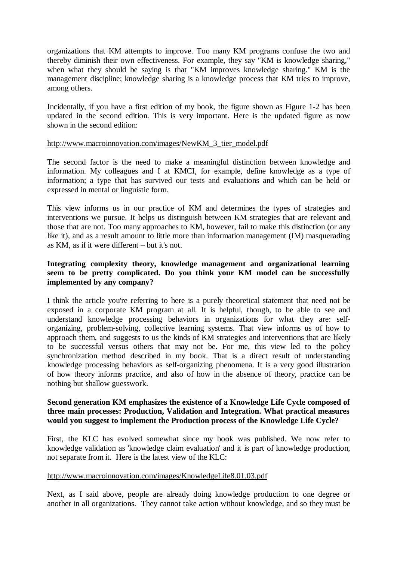organizations that KM attempts to improve. Too many KM programs confuse the two and thereby diminish their own effectiveness. For example, they say "KM is knowledge sharing," when what they should be saying is that "KM improves knowledge sharing." KM is the management discipline; knowledge sharing is a knowledge process that KM tries to improve, among others.

Incidentally, if you have a first edition of my book, the figure shown as Figure 1-2 has been updated in the second edition. This is very important. Here is the updated figure as now shown in the second edition:

#### [http://www.macroinnovation.com/images/NewKM\\_3\\_tier\\_model.pdf](http://www.macroinnovation.com/images/NewKM_3_tier_model.pdf)

The second factor is the need to make a meaningful distinction between knowledge and information. My colleagues and I at KMCI, for example, define knowledge as a type of information; a type that has survived our tests and evaluations and which can be held or expressed in mental or linguistic form.

This view informs us in our practice of KM and determines the types of strategies and interventions we pursue. It helps us distinguish between KM strategies that are relevant and those that are not. Too many approaches to KM, however, fail to make this distinction (or any like it), and as a result amount to little more than information management (IM) masquerading as KM, as if it were different – but it's not.

# **Integrating complexity theory, knowledge management and organizational learning seem to be pretty complicated. Do you think your KM model can be successfully implemented by any company?**

I think the article you're referring to here is a purely theoretical statement that need not be exposed in a corporate KM program at all. It is helpful, though, to be able to see and understand knowledge processing behaviors in organizations for what they are: selforganizing, problem-solving, collective learning systems. That view informs us of how to approach them, and suggests to us the kinds of KM strategies and interventions that are likely to be successful versus others that may not be. For me, this view led to the policy synchronization method described in my book. That is a direct result of understanding knowledge processing behaviors as self-organizing phenomena. It is a very good illustration of how theory informs practice, and also of how in the absence of theory, practice can be nothing but shallow guesswork.

#### **Second generation KM emphasizes the existence of a Knowledge Life Cycle composed of three main processes: Production, Validation and Integration. What practical measures would you suggest to implement the Production process of the Knowledge Life Cycle?**

First, the KLC has evolved somewhat since my book was published. We now refer to knowledge validation as 'knowledge claim evaluation' and it is part of knowledge production, not separate from it. Here is the latest view of the KLC:

#### <http://www.macroinnovation.com/images/KnowledgeLife8.01.03.pdf>

Next, as I said above, people are already doing knowledge production to one degree or another in all organizations. They cannot take action without knowledge, and so they must be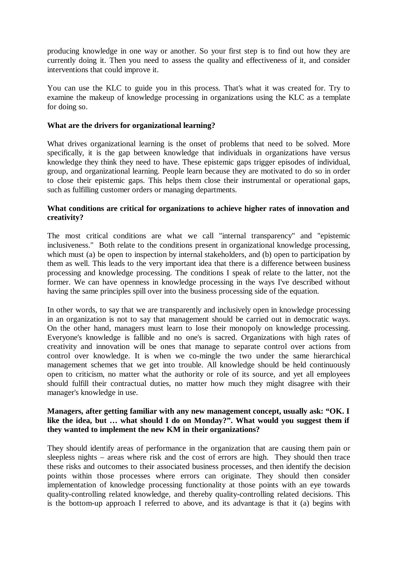producing knowledge in one way or another. So your first step is to find out how they are currently doing it. Then you need to assess the quality and effectiveness of it, and consider interventions that could improve it.

You can use the KLC to guide you in this process. That's what it was created for. Try to examine the makeup of knowledge processing in organizations using the KLC as a template for doing so.

## **What are the drivers for organizational learning?**

What drives organizational learning is the onset of problems that need to be solved. More specifically, it is the gap between knowledge that individuals in organizations have versus knowledge they think they need to have. These epistemic gaps trigger episodes of individual, group, and organizational learning. People learn because they are motivated to do so in order to close their epistemic gaps. This helps them close their instrumental or operational gaps, such as fulfilling customer orders or managing departments.

# **What conditions are critical for organizations to achieve higher rates of innovation and creativity?**

The most critical conditions are what we call "internal transparency" and "epistemic inclusiveness." Both relate to the conditions present in organizational knowledge processing, which must (a) be open to inspection by internal stakeholders, and (b) open to participation by them as well. This leads to the very important idea that there is a difference between business processing and knowledge processing. The conditions I speak of relate to the latter, not the former. We can have openness in knowledge processing in the ways I've described without having the same principles spill over into the business processing side of the equation.

In other words, to say that we are transparently and inclusively open in knowledge processing in an organization is not to say that management should be carried out in democratic ways. On the other hand, managers must learn to lose their monopoly on knowledge processing. Everyone's knowledge is fallible and no one's is sacred. Organizations with high rates of creativity and innovation will be ones that manage to separate control over actions from control over knowledge. It is when we co-mingle the two under the same hierarchical management schemes that we get into trouble. All knowledge should be held continuously open to criticism, no matter what the authority or role of its source, and yet all employees should fulfill their contractual duties, no matter how much they might disagree with their manager's knowledge in use.

## **Managers, after getting familiar with any new management concept, usually ask: "OK. I like the idea, but … what should I do on Monday?". What would you suggest them if they wanted to implement the new KM in their organizations?**

They should identify areas of performance in the organization that are causing them pain or sleepless nights – areas where risk and the cost of errors are high. They should then trace these risks and outcomes to their associated business processes, and then identify the decision points within those processes where errors can originate. They should then consider implementation of knowledge processing functionality at those points with an eye towards quality-controlling related knowledge, and thereby quality-controlling related decisions. This is the bottom-up approach I referred to above, and its advantage is that it (a) begins with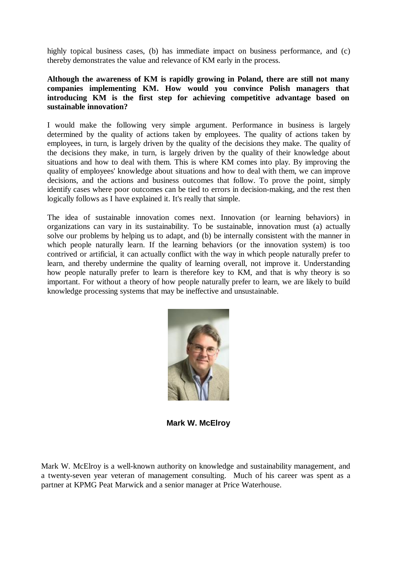highly topical business cases, (b) has immediate impact on business performance, and (c) thereby demonstrates the value and relevance of KM early in the process.

# **Although the awareness of KM is rapidly growing in Poland, there are still not many companies implementing KM. How would you convince Polish managers that introducing KM is the first step for achieving competitive advantage based on sustainable innovation?**

I would make the following very simple argument. Performance in business is largely determined by the quality of actions taken by employees. The quality of actions taken by employees, in turn, is largely driven by the quality of the decisions they make. The quality of the decisions they make, in turn, is largely driven by the quality of their knowledge about situations and how to deal with them. This is where KM comes into play. By improving the quality of employees' knowledge about situations and how to deal with them, we can improve decisions, and the actions and business outcomes that follow. To prove the point, simply identify cases where poor outcomes can be tied to errors in decision-making, and the rest then logically follows as I have explained it. It's really that simple.

The idea of sustainable innovation comes next. Innovation (or learning behaviors) in organizations can vary in its sustainability. To be sustainable, innovation must (a) actually solve our problems by helping us to adapt, and (b) be internally consistent with the manner in which people naturally learn. If the learning behaviors (or the innovation system) is too contrived or artificial, it can actually conflict with the way in which people naturally prefer to learn, and thereby undermine the quality of learning overall, not improve it. Understanding how people naturally prefer to learn is therefore key to KM, and that is why theory is so important. For without a theory of how people naturally prefer to learn, we are likely to build knowledge processing systems that may be ineffective and unsustainable.



**Mark W. McElroy** 

Mark W. McElroy is a well-known authority on knowledge and sustainability management, and a twenty-seven year veteran of management consulting. Much of his career was spent as a partner at KPMG Peat Marwick and a senior manager at Price Waterhouse.